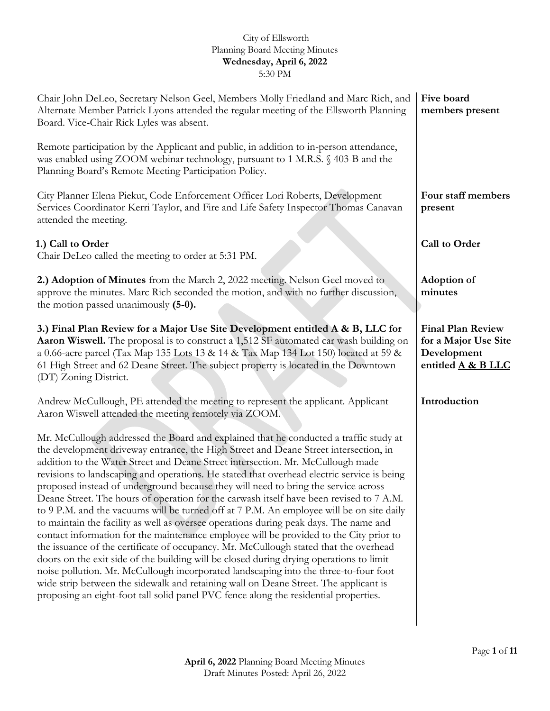| Chair John DeLeo, Secretary Nelson Geel, Members Molly Friedland and Marc Rich, and<br>Alternate Member Patrick Lyons attended the regular meeting of the Ellsworth Planning<br>Board. Vice-Chair Rick Lyles was absent.                                                                                                                                                                                                                                                                                                                                                                                                                                                                                                                                                                                                                                                                                                                                                                                                                                                                                                                                                                                                                                                                   | Five board<br>members present                                                         |
|--------------------------------------------------------------------------------------------------------------------------------------------------------------------------------------------------------------------------------------------------------------------------------------------------------------------------------------------------------------------------------------------------------------------------------------------------------------------------------------------------------------------------------------------------------------------------------------------------------------------------------------------------------------------------------------------------------------------------------------------------------------------------------------------------------------------------------------------------------------------------------------------------------------------------------------------------------------------------------------------------------------------------------------------------------------------------------------------------------------------------------------------------------------------------------------------------------------------------------------------------------------------------------------------|---------------------------------------------------------------------------------------|
| Remote participation by the Applicant and public, in addition to in-person attendance,<br>was enabled using ZOOM webinar technology, pursuant to 1 M.R.S. § 403-B and the<br>Planning Board's Remote Meeting Participation Policy.                                                                                                                                                                                                                                                                                                                                                                                                                                                                                                                                                                                                                                                                                                                                                                                                                                                                                                                                                                                                                                                         |                                                                                       |
| City Planner Elena Piekut, Code Enforcement Officer Lori Roberts, Development<br>Services Coordinator Kerri Taylor, and Fire and Life Safety Inspector Thomas Canavan<br>attended the meeting.                                                                                                                                                                                                                                                                                                                                                                                                                                                                                                                                                                                                                                                                                                                                                                                                                                                                                                                                                                                                                                                                                             | Four staff members<br>present                                                         |
| 1.) Call to Order<br>Chair DeLeo called the meeting to order at 5:31 PM.                                                                                                                                                                                                                                                                                                                                                                                                                                                                                                                                                                                                                                                                                                                                                                                                                                                                                                                                                                                                                                                                                                                                                                                                                   | Call to Order                                                                         |
| 2.) Adoption of Minutes from the March 2, 2022 meeting. Nelson Geel moved to<br>approve the minutes. Marc Rich seconded the motion, and with no further discussion,<br>the motion passed unanimously (5-0).                                                                                                                                                                                                                                                                                                                                                                                                                                                                                                                                                                                                                                                                                                                                                                                                                                                                                                                                                                                                                                                                                | <b>Adoption of</b><br>minutes                                                         |
| 3.) Final Plan Review for a Major Use Site Development entitled A & B, LLC for<br>Aaron Wiswell. The proposal is to construct a 1,512 SF automated car wash building on<br>a 0.66-acre parcel (Tax Map 135 Lots 13 & 14 & Tax Map 134 Lot 150) located at 59 &<br>61 High Street and 62 Deane Street. The subject property is located in the Downtown<br>(DT) Zoning District.                                                                                                                                                                                                                                                                                                                                                                                                                                                                                                                                                                                                                                                                                                                                                                                                                                                                                                             | <b>Final Plan Review</b><br>for a Major Use Site<br>Development<br>entitled A & B LLC |
| Andrew McCullough, PE attended the meeting to represent the applicant. Applicant<br>Aaron Wiswell attended the meeting remotely via ZOOM.                                                                                                                                                                                                                                                                                                                                                                                                                                                                                                                                                                                                                                                                                                                                                                                                                                                                                                                                                                                                                                                                                                                                                  | Introduction                                                                          |
| Mr. McCullough addressed the Board and explained that he conducted a traffic study at<br>the development driveway entrance, the High Street and Deane Street intersection, in<br>addition to the Water Street and Deane Street intersection. Mr. McCullough made<br>revisions to landscaping and operations. He stated that overhead electric service is being<br>proposed instead of underground because they will need to bring the service across<br>Deane Street. The hours of operation for the carwash itself have been revised to 7 A.M.<br>to 9 P.M. and the vacuums will be turned off at 7 P.M. An employee will be on site daily<br>to maintain the facility as well as oversee operations during peak days. The name and<br>contact information for the maintenance employee will be provided to the City prior to<br>the issuance of the certificate of occupancy. Mr. McCullough stated that the overhead<br>doors on the exit side of the building will be closed during drying operations to limit<br>noise pollution. Mr. McCullough incorporated landscaping into the three-to-four foot<br>wide strip between the sidewalk and retaining wall on Deane Street. The applicant is<br>proposing an eight-foot tall solid panel PVC fence along the residential properties. |                                                                                       |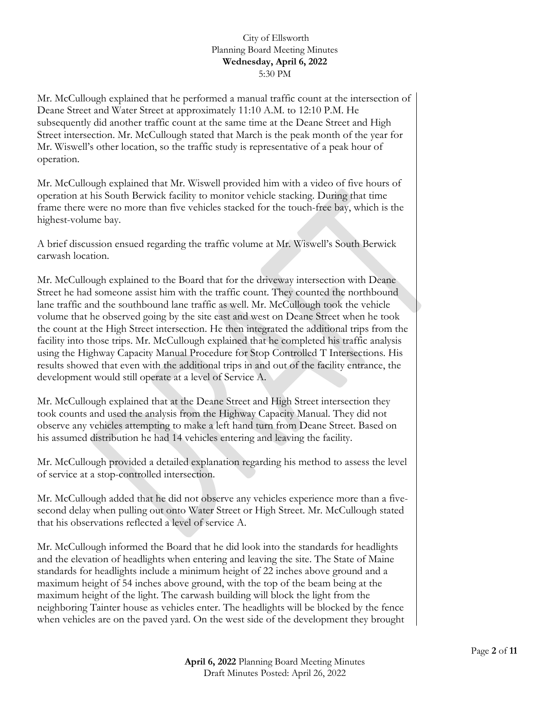Mr. McCullough explained that he performed a manual traffic count at the intersection of Deane Street and Water Street at approximately 11:10 A.M. to 12:10 P.M. He subsequently did another traffic count at the same time at the Deane Street and High Street intersection. Mr. McCullough stated that March is the peak month of the year for Mr. Wiswell's other location, so the traffic study is representative of a peak hour of operation.

Mr. McCullough explained that Mr. Wiswell provided him with a video of five hours of operation at his South Berwick facility to monitor vehicle stacking. During that time frame there were no more than five vehicles stacked for the touch-free bay, which is the highest-volume bay.

A brief discussion ensued regarding the traffic volume at Mr. Wiswell's South Berwick carwash location.

Mr. McCullough explained to the Board that for the driveway intersection with Deane Street he had someone assist him with the traffic count. They counted the northbound lane traffic and the southbound lane traffic as well. Mr. McCullough took the vehicle volume that he observed going by the site east and west on Deane Street when he took the count at the High Street intersection. He then integrated the additional trips from the facility into those trips. Mr. McCullough explained that he completed his traffic analysis using the Highway Capacity Manual Procedure for Stop Controlled T Intersections. His results showed that even with the additional trips in and out of the facility entrance, the development would still operate at a level of Service A.

Mr. McCullough explained that at the Deane Street and High Street intersection they took counts and used the analysis from the Highway Capacity Manual. They did not observe any vehicles attempting to make a left hand turn from Deane Street. Based on his assumed distribution he had 14 vehicles entering and leaving the facility.

Mr. McCullough provided a detailed explanation regarding his method to assess the level of service at a stop-controlled intersection.

Mr. McCullough added that he did not observe any vehicles experience more than a fivesecond delay when pulling out onto Water Street or High Street. Mr. McCullough stated that his observations reflected a level of service A.

Mr. McCullough informed the Board that he did look into the standards for headlights and the elevation of headlights when entering and leaving the site. The State of Maine standards for headlights include a minimum height of 22 inches above ground and a maximum height of 54 inches above ground, with the top of the beam being at the maximum height of the light. The carwash building will block the light from the neighboring Tainter house as vehicles enter. The headlights will be blocked by the fence when vehicles are on the paved yard. On the west side of the development they brought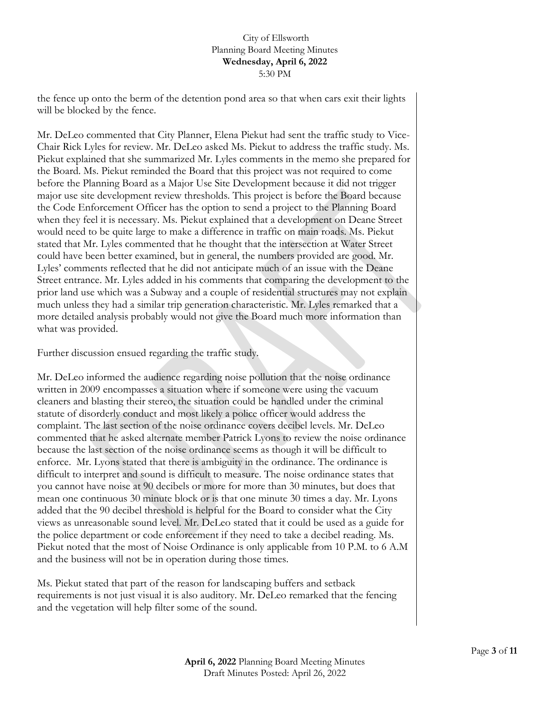the fence up onto the berm of the detention pond area so that when cars exit their lights will be blocked by the fence.

Mr. DeLeo commented that City Planner, Elena Piekut had sent the traffic study to Vice-Chair Rick Lyles for review. Mr. DeLeo asked Ms. Piekut to address the traffic study. Ms. Piekut explained that she summarized Mr. Lyles comments in the memo she prepared for the Board. Ms. Piekut reminded the Board that this project was not required to come before the Planning Board as a Major Use Site Development because it did not trigger major use site development review thresholds. This project is before the Board because the Code Enforcement Officer has the option to send a project to the Planning Board when they feel it is necessary. Ms. Piekut explained that a development on Deane Street would need to be quite large to make a difference in traffic on main roads. Ms. Piekut stated that Mr. Lyles commented that he thought that the intersection at Water Street could have been better examined, but in general, the numbers provided are good. Mr. Lyles' comments reflected that he did not anticipate much of an issue with the Deane Street entrance. Mr. Lyles added in his comments that comparing the development to the prior land use which was a Subway and a couple of residential structures may not explain much unless they had a similar trip generation characteristic. Mr. Lyles remarked that a more detailed analysis probably would not give the Board much more information than what was provided.

Further discussion ensued regarding the traffic study.

Mr. DeLeo informed the audience regarding noise pollution that the noise ordinance written in 2009 encompasses a situation where if someone were using the vacuum cleaners and blasting their stereo, the situation could be handled under the criminal statute of disorderly conduct and most likely a police officer would address the complaint. The last section of the noise ordinance covers decibel levels. Mr. DeLeo commented that he asked alternate member Patrick Lyons to review the noise ordinance because the last section of the noise ordinance seems as though it will be difficult to enforce. Mr. Lyons stated that there is ambiguity in the ordinance. The ordinance is difficult to interpret and sound is difficult to measure. The noise ordinance states that you cannot have noise at 90 decibels or more for more than 30 minutes, but does that mean one continuous 30 minute block or is that one minute 30 times a day. Mr. Lyons added that the 90 decibel threshold is helpful for the Board to consider what the City views as unreasonable sound level. Mr. DeLeo stated that it could be used as a guide for the police department or code enforcement if they need to take a decibel reading. Ms. Piekut noted that the most of Noise Ordinance is only applicable from 10 P.M. to 6 A.M and the business will not be in operation during those times.

Ms. Piekut stated that part of the reason for landscaping buffers and setback requirements is not just visual it is also auditory. Mr. DeLeo remarked that the fencing and the vegetation will help filter some of the sound.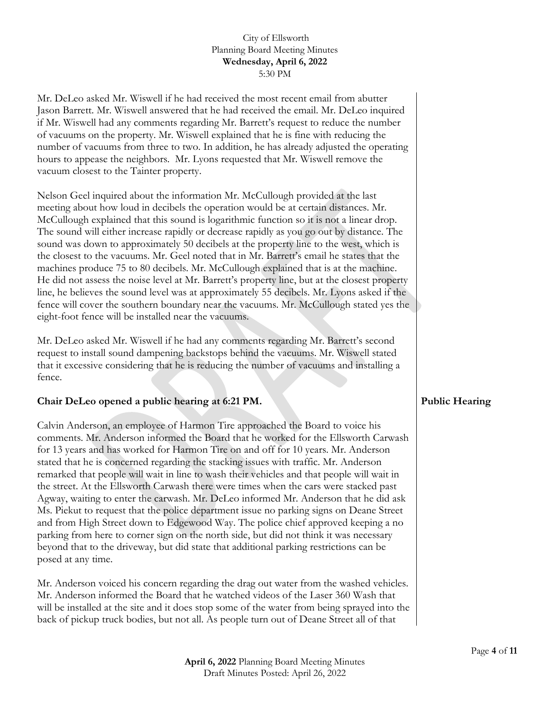Mr. DeLeo asked Mr. Wiswell if he had received the most recent email from abutter Jason Barrett. Mr. Wiswell answered that he had received the email. Mr. DeLeo inquired if Mr. Wiswell had any comments regarding Mr. Barrett's request to reduce the number of vacuums on the property. Mr. Wiswell explained that he is fine with reducing the number of vacuums from three to two. In addition, he has already adjusted the operating hours to appease the neighbors. Mr. Lyons requested that Mr. Wiswell remove the vacuum closest to the Tainter property.

Nelson Geel inquired about the information Mr. McCullough provided at the last meeting about how loud in decibels the operation would be at certain distances. Mr. McCullough explained that this sound is logarithmic function so it is not a linear drop. The sound will either increase rapidly or decrease rapidly as you go out by distance. The sound was down to approximately 50 decibels at the property line to the west, which is the closest to the vacuums. Mr. Geel noted that in Mr. Barrett's email he states that the machines produce 75 to 80 decibels. Mr. McCullough explained that is at the machine. He did not assess the noise level at Mr. Barrett's property line, but at the closest property line, he believes the sound level was at approximately 55 decibels. Mr. Lyons asked if the fence will cover the southern boundary near the vacuums. Mr. McCullough stated yes the eight-foot fence will be installed near the vacuums.

Mr. DeLeo asked Mr. Wiswell if he had any comments regarding Mr. Barrett's second request to install sound dampening backstops behind the vacuums. Mr. Wiswell stated that it excessive considering that he is reducing the number of vacuums and installing a fence.

# **Chair DeLeo opened a public hearing at 6:21 PM.**

Calvin Anderson, an employee of Harmon Tire approached the Board to voice his comments. Mr. Anderson informed the Board that he worked for the Ellsworth Carwash for 13 years and has worked for Harmon Tire on and off for 10 years. Mr. Anderson stated that he is concerned regarding the stacking issues with traffic. Mr. Anderson remarked that people will wait in line to wash their vehicles and that people will wait in the street. At the Ellsworth Carwash there were times when the cars were stacked past Agway, waiting to enter the carwash. Mr. DeLeo informed Mr. Anderson that he did ask Ms. Piekut to request that the police department issue no parking signs on Deane Street and from High Street down to Edgewood Way. The police chief approved keeping a no parking from here to corner sign on the north side, but did not think it was necessary beyond that to the driveway, but did state that additional parking restrictions can be posed at any time.

Mr. Anderson voiced his concern regarding the drag out water from the washed vehicles. Mr. Anderson informed the Board that he watched videos of the Laser 360 Wash that will be installed at the site and it does stop some of the water from being sprayed into the back of pickup truck bodies, but not all. As people turn out of Deane Street all of that

# **Public Hearing**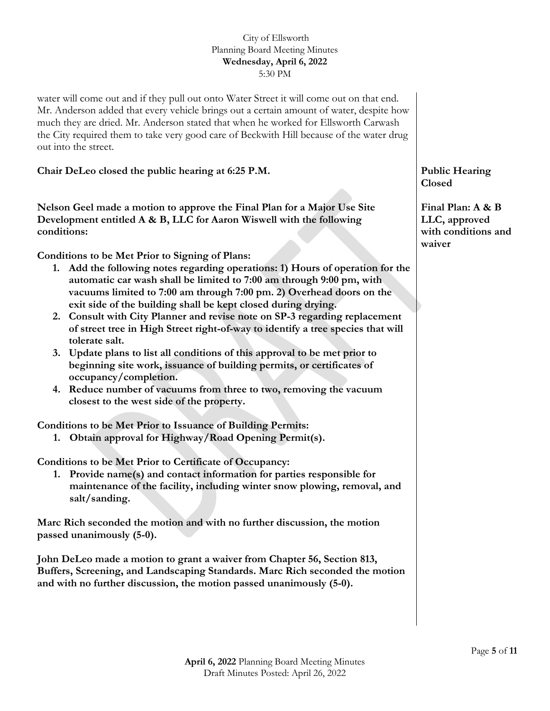water will come out and if they pull out onto Water Street it will come out on that end. Mr. Anderson added that every vehicle brings out a certain amount of water, despite how much they are dried. Mr. Anderson stated that when he worked for Ellsworth Carwash the City required them to take very good care of Beckwith Hill because of the water drug out into the street.

**Chair DeLeo closed the public hearing at 6:25 P.M.** 

**Nelson Geel made a motion to approve the Final Plan for a Major Use Site Development entitled A & B, LLC for Aaron Wiswell with the following conditions:**

**Conditions to be Met Prior to Signing of Plans:** 

- **1. Add the following notes regarding operations: 1) Hours of operation for the automatic car wash shall be limited to 7:00 am through 9:00 pm, with vacuums limited to 7:00 am through 7:00 pm. 2) Overhead doors on the exit side of the building shall be kept closed during drying.**
- **2. Consult with City Planner and revise note on SP-3 regarding replacement of street tree in High Street right-of-way to identify a tree species that will tolerate salt.**
- **3. Update plans to list all conditions of this approval to be met prior to beginning site work, issuance of building permits, or certificates of occupancy/completion.**
- **4. Reduce number of vacuums from three to two, removing the vacuum closest to the west side of the property.**

**Conditions to be Met Prior to Issuance of Building Permits:**

**1. Obtain approval for Highway/Road Opening Permit(s).**

**Conditions to be Met Prior to Certificate of Occupancy:**

**1. Provide name(s) and contact information for parties responsible for maintenance of the facility, including winter snow plowing, removal, and salt/sanding.**

**Marc Rich seconded the motion and with no further discussion, the motion passed unanimously (5-0).** 

**John DeLeo made a motion to grant a waiver from Chapter 56, Section 813, Buffers, Screening, and Landscaping Standards. Marc Rich seconded the motion and with no further discussion, the motion passed unanimously (5-0).** 

**Public Hearing Closed**

**Final Plan: A & B LLC, approved with conditions and waiver**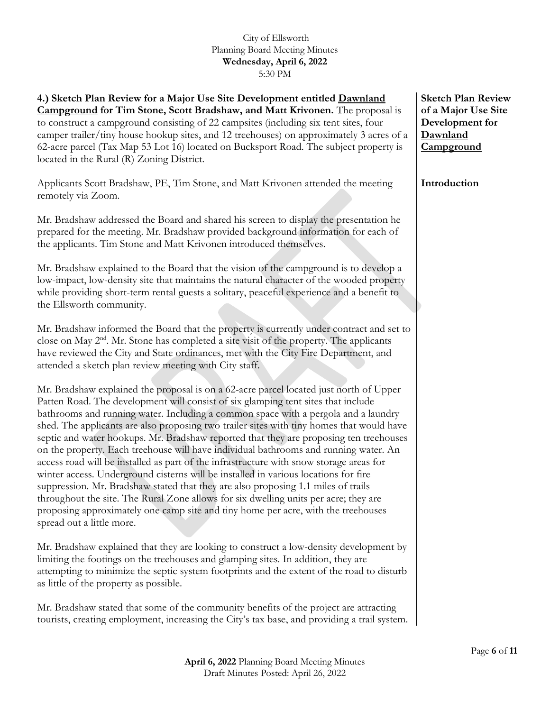**4.) Sketch Plan Review for a Major Use Site Development entitled Dawnland Campground for Tim Stone, Scott Bradshaw, and Matt Krivonen.** The proposal is to construct a campground consisting of 22 campsites (including six tent sites, four camper trailer/tiny house hookup sites, and 12 treehouses) on approximately 3 acres of a 62-acre parcel (Tax Map 53 Lot 16) located on Bucksport Road. The subject property is located in the Rural (R) Zoning District.

Applicants Scott Bradshaw, PE, Tim Stone, and Matt Krivonen attended the meeting remotely via Zoom.

Mr. Bradshaw addressed the Board and shared his screen to display the presentation he prepared for the meeting. Mr. Bradshaw provided background information for each of the applicants. Tim Stone and Matt Krivonen introduced themselves.

Mr. Bradshaw explained to the Board that the vision of the campground is to develop a low-impact, low-density site that maintains the natural character of the wooded property while providing short-term rental guests a solitary, peaceful experience and a benefit to the Ellsworth community.

Mr. Bradshaw informed the Board that the property is currently under contract and set to close on May  $2<sup>nd</sup>$ . Mr. Stone has completed a site visit of the property. The applicants have reviewed the City and State ordinances, met with the City Fire Department, and attended a sketch plan review meeting with City staff.

Mr. Bradshaw explained the proposal is on a 62-acre parcel located just north of Upper Patten Road. The development will consist of six glamping tent sites that include bathrooms and running water. Including a common space with a pergola and a laundry shed. The applicants are also proposing two trailer sites with tiny homes that would have septic and water hookups. Mr. Bradshaw reported that they are proposing ten treehouses on the property. Each treehouse will have individual bathrooms and running water. An access road will be installed as part of the infrastructure with snow storage areas for winter access. Underground cisterns will be installed in various locations for fire suppression. Mr. Bradshaw stated that they are also proposing 1.1 miles of trails throughout the site. The Rural Zone allows for six dwelling units per acre; they are proposing approximately one camp site and tiny home per acre, with the treehouses spread out a little more.

Mr. Bradshaw explained that they are looking to construct a low-density development by limiting the footings on the treehouses and glamping sites. In addition, they are attempting to minimize the septic system footprints and the extent of the road to disturb as little of the property as possible.

Mr. Bradshaw stated that some of the community benefits of the project are attracting tourists, creating employment, increasing the City's tax base, and providing a trail system.

**Sketch Plan Review of a Major Use Site Development for Dawnland Campground**

**Introduction**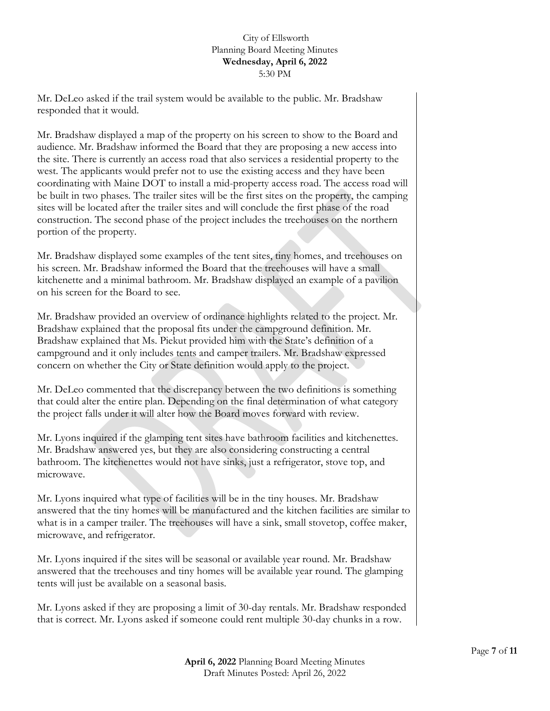Mr. DeLeo asked if the trail system would be available to the public. Mr. Bradshaw responded that it would.

Mr. Bradshaw displayed a map of the property on his screen to show to the Board and audience. Mr. Bradshaw informed the Board that they are proposing a new access into the site. There is currently an access road that also services a residential property to the west. The applicants would prefer not to use the existing access and they have been coordinating with Maine DOT to install a mid-property access road. The access road will be built in two phases. The trailer sites will be the first sites on the property, the camping sites will be located after the trailer sites and will conclude the first phase of the road construction. The second phase of the project includes the treehouses on the northern portion of the property.

Mr. Bradshaw displayed some examples of the tent sites, tiny homes, and treehouses on his screen. Mr. Bradshaw informed the Board that the treehouses will have a small kitchenette and a minimal bathroom. Mr. Bradshaw displayed an example of a pavilion on his screen for the Board to see.

Mr. Bradshaw provided an overview of ordinance highlights related to the project. Mr. Bradshaw explained that the proposal fits under the campground definition. Mr. Bradshaw explained that Ms. Piekut provided him with the State's definition of a campground and it only includes tents and camper trailers. Mr. Bradshaw expressed concern on whether the City or State definition would apply to the project.

Mr. DeLeo commented that the discrepancy between the two definitions is something that could alter the entire plan. Depending on the final determination of what category the project falls under it will alter how the Board moves forward with review.

Mr. Lyons inquired if the glamping tent sites have bathroom facilities and kitchenettes. Mr. Bradshaw answered yes, but they are also considering constructing a central bathroom. The kitchenettes would not have sinks, just a refrigerator, stove top, and microwave.

Mr. Lyons inquired what type of facilities will be in the tiny houses. Mr. Bradshaw answered that the tiny homes will be manufactured and the kitchen facilities are similar to what is in a camper trailer. The treehouses will have a sink, small stovetop, coffee maker, microwave, and refrigerator.

Mr. Lyons inquired if the sites will be seasonal or available year round. Mr. Bradshaw answered that the treehouses and tiny homes will be available year round. The glamping tents will just be available on a seasonal basis.

Mr. Lyons asked if they are proposing a limit of 30-day rentals. Mr. Bradshaw responded that is correct. Mr. Lyons asked if someone could rent multiple 30-day chunks in a row.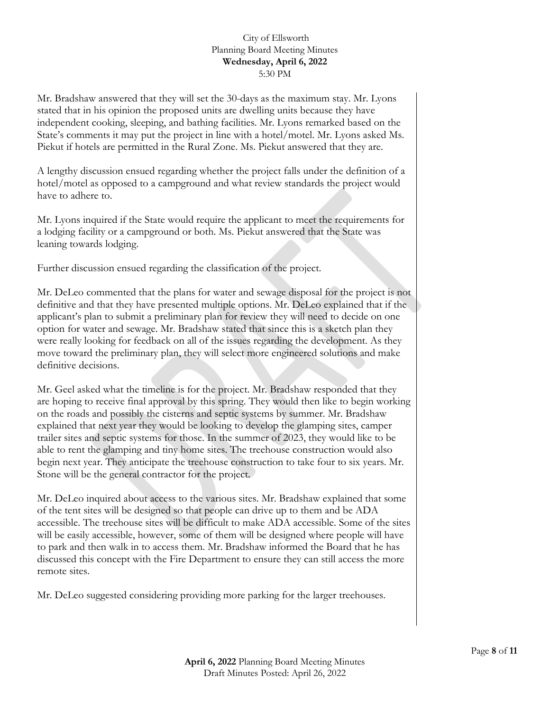Mr. Bradshaw answered that they will set the 30-days as the maximum stay. Mr. Lyons stated that in his opinion the proposed units are dwelling units because they have independent cooking, sleeping, and bathing facilities. Mr. Lyons remarked based on the State's comments it may put the project in line with a hotel/motel. Mr. Lyons asked Ms. Piekut if hotels are permitted in the Rural Zone. Ms. Piekut answered that they are.

A lengthy discussion ensued regarding whether the project falls under the definition of a hotel/motel as opposed to a campground and what review standards the project would have to adhere to.

Mr. Lyons inquired if the State would require the applicant to meet the requirements for a lodging facility or a campground or both. Ms. Piekut answered that the State was leaning towards lodging.

Further discussion ensued regarding the classification of the project.

Mr. DeLeo commented that the plans for water and sewage disposal for the project is not definitive and that they have presented multiple options. Mr. DeLeo explained that if the applicant's plan to submit a preliminary plan for review they will need to decide on one option for water and sewage. Mr. Bradshaw stated that since this is a sketch plan they were really looking for feedback on all of the issues regarding the development. As they move toward the preliminary plan, they will select more engineered solutions and make definitive decisions.

Mr. Geel asked what the timeline is for the project. Mr. Bradshaw responded that they are hoping to receive final approval by this spring. They would then like to begin working on the roads and possibly the cisterns and septic systems by summer. Mr. Bradshaw explained that next year they would be looking to develop the glamping sites, camper trailer sites and septic systems for those. In the summer of 2023, they would like to be able to rent the glamping and tiny home sites. The treehouse construction would also begin next year. They anticipate the treehouse construction to take four to six years. Mr. Stone will be the general contractor for the project.

Mr. DeLeo inquired about access to the various sites. Mr. Bradshaw explained that some of the tent sites will be designed so that people can drive up to them and be ADA accessible. The treehouse sites will be difficult to make ADA accessible. Some of the sites will be easily accessible, however, some of them will be designed where people will have to park and then walk in to access them. Mr. Bradshaw informed the Board that he has discussed this concept with the Fire Department to ensure they can still access the more remote sites.

Mr. DeLeo suggested considering providing more parking for the larger treehouses.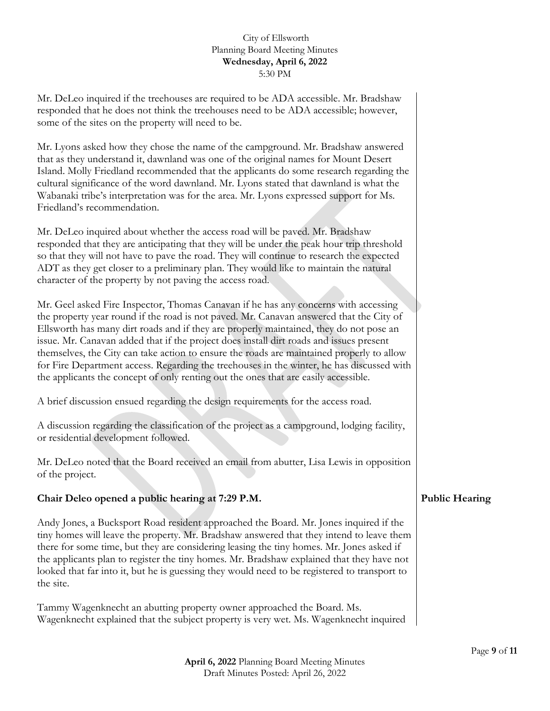Mr. DeLeo inquired if the treehouses are required to be ADA accessible. Mr. Bradshaw responded that he does not think the treehouses need to be ADA accessible; however, some of the sites on the property will need to be.

Mr. Lyons asked how they chose the name of the campground. Mr. Bradshaw answered that as they understand it, dawnland was one of the original names for Mount Desert Island. Molly Friedland recommended that the applicants do some research regarding the cultural significance of the word dawnland. Mr. Lyons stated that dawnland is what the Wabanaki tribe's interpretation was for the area. Mr. Lyons expressed support for Ms. Friedland's recommendation.

Mr. DeLeo inquired about whether the access road will be paved. Mr. Bradshaw responded that they are anticipating that they will be under the peak hour trip threshold so that they will not have to pave the road. They will continue to research the expected ADT as they get closer to a preliminary plan. They would like to maintain the natural character of the property by not paving the access road.

Mr. Geel asked Fire Inspector, Thomas Canavan if he has any concerns with accessing the property year round if the road is not paved. Mr. Canavan answered that the City of Ellsworth has many dirt roads and if they are properly maintained, they do not pose an issue. Mr. Canavan added that if the project does install dirt roads and issues present themselves, the City can take action to ensure the roads are maintained properly to allow for Fire Department access. Regarding the treehouses in the winter, he has discussed with the applicants the concept of only renting out the ones that are easily accessible.

A brief discussion ensued regarding the design requirements for the access road.

A discussion regarding the classification of the project as a campground, lodging facility, or residential development followed.

Mr. DeLeo noted that the Board received an email from abutter, Lisa Lewis in opposition of the project.

# **Chair Deleo opened a public hearing at 7:29 P.M.**

Andy Jones, a Bucksport Road resident approached the Board. Mr. Jones inquired if the tiny homes will leave the property. Mr. Bradshaw answered that they intend to leave them there for some time, but they are considering leasing the tiny homes. Mr. Jones asked if the applicants plan to register the tiny homes. Mr. Bradshaw explained that they have not looked that far into it, but he is guessing they would need to be registered to transport to the site.

Tammy Wagenknecht an abutting property owner approached the Board. Ms. Wagenknecht explained that the subject property is very wet. Ms. Wagenknecht inquired

# **Public Hearing**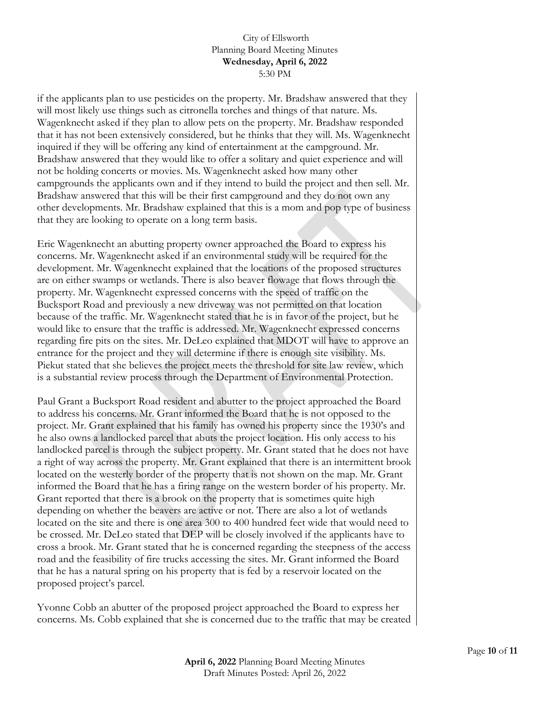if the applicants plan to use pesticides on the property. Mr. Bradshaw answered that they will most likely use things such as citronella torches and things of that nature. Ms. Wagenknecht asked if they plan to allow pets on the property. Mr. Bradshaw responded that it has not been extensively considered, but he thinks that they will. Ms. Wagenknecht inquired if they will be offering any kind of entertainment at the campground. Mr. Bradshaw answered that they would like to offer a solitary and quiet experience and will not be holding concerts or movies. Ms. Wagenknecht asked how many other campgrounds the applicants own and if they intend to build the project and then sell. Mr. Bradshaw answered that this will be their first campground and they do not own any other developments. Mr. Bradshaw explained that this is a mom and pop type of business that they are looking to operate on a long term basis.

Eric Wagenknecht an abutting property owner approached the Board to express his concerns. Mr. Wagenknecht asked if an environmental study will be required for the development. Mr. Wagenknecht explained that the locations of the proposed structures are on either swamps or wetlands. There is also beaver flowage that flows through the property. Mr. Wagenknecht expressed concerns with the speed of traffic on the Bucksport Road and previously a new driveway was not permitted on that location because of the traffic. Mr. Wagenknecht stated that he is in favor of the project, but he would like to ensure that the traffic is addressed. Mr. Wagenknecht expressed concerns regarding fire pits on the sites. Mr. DeLeo explained that MDOT will have to approve an entrance for the project and they will determine if there is enough site visibility. Ms. Piekut stated that she believes the project meets the threshold for site law review, which is a substantial review process through the Department of Environmental Protection.

Paul Grant a Bucksport Road resident and abutter to the project approached the Board to address his concerns. Mr. Grant informed the Board that he is not opposed to the project. Mr. Grant explained that his family has owned his property since the 1930's and he also owns a landlocked parcel that abuts the project location. His only access to his landlocked parcel is through the subject property. Mr. Grant stated that he does not have a right of way across the property. Mr. Grant explained that there is an intermittent brook located on the westerly border of the property that is not shown on the map. Mr. Grant informed the Board that he has a firing range on the western border of his property. Mr. Grant reported that there is a brook on the property that is sometimes quite high depending on whether the beavers are active or not. There are also a lot of wetlands located on the site and there is one area 300 to 400 hundred feet wide that would need to be crossed. Mr. DeLeo stated that DEP will be closely involved if the applicants have to cross a brook. Mr. Grant stated that he is concerned regarding the steepness of the access road and the feasibility of fire trucks accessing the sites. Mr. Grant informed the Board that he has a natural spring on his property that is fed by a reservoir located on the proposed project's parcel.

Yvonne Cobb an abutter of the proposed project approached the Board to express her concerns. Ms. Cobb explained that she is concerned due to the traffic that may be created